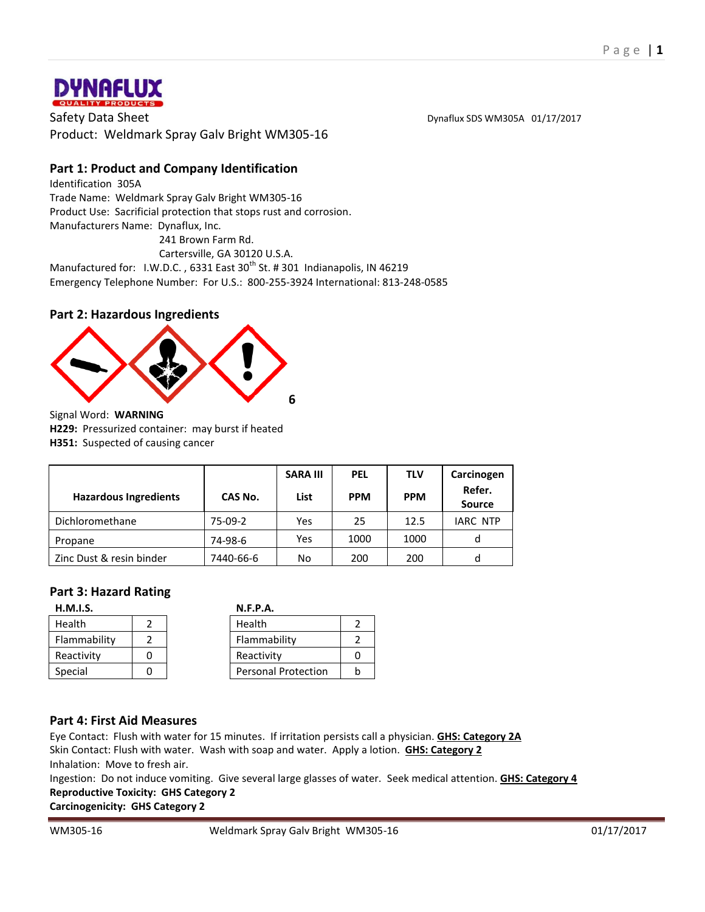

Safety Data Sheet **Distribution Community** Control of the Dynaflux SDS WM305A 01/17/2017 Product: Weldmark Spray Galv Bright WM305-16

# **Part 1: Product and Company Identification**

Identification 305A Trade Name: Weldmark Spray Galv Bright WM305-16 Product Use: Sacrificial protection that stops rust and corrosion. Manufacturers Name: Dynaflux, Inc. 241 Brown Farm Rd.

Cartersville, GA 30120 U.S.A.

Manufactured for: I.W.D.C., 6331 East 30<sup>th</sup> St. # 301 Indianapolis, IN 46219 Emergency Telephone Number: For U.S.: 800-255-3924 International: 813-248-0585

### **Part 2: Hazardous Ingredients**



Signal Word: **WARNING H229:** Pressurized container: may burst if heated

**H351:** Suspected of causing cancer

|                              |           | <b>SARA III</b> | <b>PEL</b> | <b>TLV</b> | Carcinogen<br>Refer. |
|------------------------------|-----------|-----------------|------------|------------|----------------------|
| <b>Hazardous Ingredients</b> | CAS No.   | List            | <b>PPM</b> | <b>PPM</b> | <b>Source</b>        |
| Dichloromethane              | 75-09-2   | Yes             | 25         | 12.5       | <b>IARC NTP</b>      |
| Propane                      | 74-98-6   | Yes             | 1000       | 1000       |                      |
| Zinc Dust & resin binder     | 7440-66-6 | No              | 200        | 200        |                      |

### **Part 3: Hazard Rating**

| H.M.I.S.     | <b>N.F.P.A.</b>            |  |
|--------------|----------------------------|--|
| Health       | Health                     |  |
| Flammability | Flammability               |  |
| Reactivity   | Reactivity                 |  |
| Special      | <b>Personal Protection</b> |  |

#### **Part 4: First Aid Measures**

Eye Contact: Flush with water for 15 minutes. If irritation persists call a physician. **GHS: Category 2A** Skin Contact: Flush with water. Wash with soap and water. Apply a lotion. **GHS: Category 2** Inhalation: Move to fresh air.

Ingestion: Do not induce vomiting. Give several large glasses of water. Seek medical attention. **GHS: Category 4 Reproductive Toxicity: GHS Category 2**

**Carcinogenicity: GHS Category 2**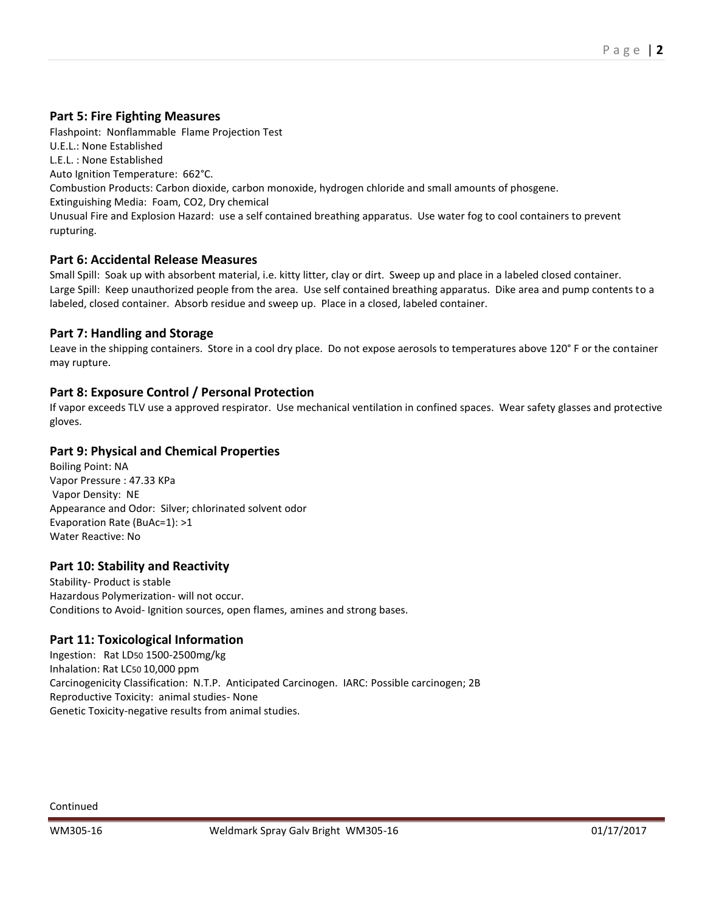## **Part 5: Fire Fighting Measures**

Flashpoint: Nonflammable Flame Projection Test U.E.L.: None Established L.E.L. : None Established Auto Ignition Temperature: 662°C. Combustion Products: Carbon dioxide, carbon monoxide, hydrogen chloride and small amounts of phosgene. Extinguishing Media: Foam, CO2, Dry chemical Unusual Fire and Explosion Hazard: use a self contained breathing apparatus. Use water fog to cool containers to prevent rupturing.

# **Part 6: Accidental Release Measures**

Small Spill: Soak up with absorbent material, i.e. kitty litter, clay or dirt. Sweep up and place in a labeled closed container. Large Spill: Keep unauthorized people from the area. Use self contained breathing apparatus. Dike area and pump contents to a labeled, closed container. Absorb residue and sweep up. Place in a closed, labeled container.

## **Part 7: Handling and Storage**

Leave in the shipping containers. Store in a cool dry place. Do not expose aerosols to temperatures above 120° F or the container may rupture.

## **Part 8: Exposure Control / Personal Protection**

If vapor exceeds TLV use a approved respirator. Use mechanical ventilation in confined spaces. Wear safety glasses and protective gloves.

## **Part 9: Physical and Chemical Properties**

Boiling Point: NA Vapor Pressure : 47.33 KPa Vapor Density: NE Appearance and Odor: Silver; chlorinated solvent odor Evaporation Rate (BuAc=1): >1 Water Reactive: No

### **Part 10: Stability and Reactivity**

Stability- Product is stable Hazardous Polymerization- will not occur. Conditions to Avoid- Ignition sources, open flames, amines and strong bases.

# **Part 11: Toxicological Information**

Ingestion: Rat LD50 1500-2500mg/kg Inhalation: Rat LC50 10,000 ppm Carcinogenicity Classification: N.T.P. Anticipated Carcinogen. IARC: Possible carcinogen; 2B Reproductive Toxicity: animal studies- None Genetic Toxicity-negative results from animal studies.